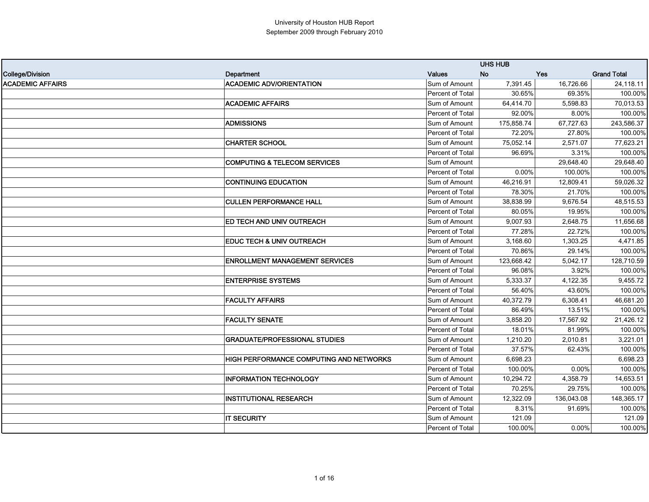|                         |                                                |                         | <b>UHS HUB</b> |            |                    |
|-------------------------|------------------------------------------------|-------------------------|----------------|------------|--------------------|
| College/Division        | Department                                     | Values                  | <b>No</b>      | <b>Yes</b> | <b>Grand Total</b> |
| <b>ACADEMIC AFFAIRS</b> | <b>ACADEMIC ADV/ORIENTATION</b>                | Sum of Amount           | 7,391.45       | 16,726.66  | 24,118.11          |
|                         |                                                | Percent of Total        | 30.65%         | 69.35%     | 100.00%            |
|                         | <b>ACADEMIC AFFAIRS</b>                        | Sum of Amount           | 64,414.70      | 5,598.83   | 70,013.53          |
|                         |                                                | <b>Percent of Total</b> | 92.00%         | 8.00%      | 100.00%            |
|                         | <b>ADMISSIONS</b>                              | Sum of Amount           | 175,858.74     | 67,727.63  | 243,586.37         |
|                         |                                                | Percent of Total        | 72.20%         | 27.80%     | 100.00%            |
|                         | <b>CHARTER SCHOOL</b>                          | Sum of Amount           | 75,052.14      | 2,571.07   | 77,623.21          |
|                         |                                                | Percent of Total        | 96.69%         | 3.31%      | 100.00%            |
|                         | <b>COMPUTING &amp; TELECOM SERVICES</b>        | Sum of Amount           |                | 29,648.40  | 29,648.40          |
|                         |                                                | Percent of Total        | 0.00%          | 100.00%    | 100.00%            |
|                         | <b>CONTINUING EDUCATION</b>                    | Sum of Amount           | 46,216.91      | 12,809.41  | 59,026.32          |
|                         |                                                | Percent of Total        | 78.30%         | 21.70%     | 100.00%            |
|                         | <b>CULLEN PERFORMANCE HALL</b>                 | Sum of Amount           | 38,838.99      | 9,676.54   | 48,515.53          |
|                         |                                                | Percent of Total        | 80.05%         | 19.95%     | 100.00%            |
|                         | ED TECH AND UNIV OUTREACH                      | Sum of Amount           | 9,007.93       | 2,648.75   | 11,656.68          |
|                         |                                                | Percent of Total        | 77.28%         | 22.72%     | 100.00%            |
|                         | <b>EDUC TECH &amp; UNIV OUTREACH</b>           | Sum of Amount           | 3.168.60       | 1,303.25   | 4,471.85           |
|                         |                                                | Percent of Total        | 70.86%         | 29.14%     | 100.00%            |
|                         | <b>ENROLLMENT MANAGEMENT SERVICES</b>          | Sum of Amount           | 123,668.42     | 5,042.17   | 128,710.59         |
|                         |                                                | Percent of Total        | 96.08%         | 3.92%      | 100.00%            |
|                         | <b>ENTERPRISE SYSTEMS</b>                      | Sum of Amount           | 5,333.37       | 4,122.35   | 9,455.72           |
|                         |                                                | Percent of Total        | 56.40%         | 43.60%     | 100.00%            |
|                         | <b>FACULTY AFFAIRS</b>                         | Sum of Amount           | 40,372.79      | 6,308.41   | 46,681.20          |
|                         |                                                | Percent of Total        | 86.49%         | 13.51%     | 100.00%            |
|                         | <b>FACULTY SENATE</b>                          | Sum of Amount           | 3,858.20       | 17,567.92  | 21,426.12          |
|                         |                                                | <b>Percent of Total</b> | 18.01%         | 81.99%     | 100.00%            |
|                         | <b>GRADUATE/PROFESSIONAL STUDIES</b>           | Sum of Amount           | 1,210.20       | 2,010.81   | 3,221.01           |
|                         |                                                | Percent of Total        | 37.57%         | 62.43%     | 100.00%            |
|                         | <b>HIGH PERFORMANCE COMPUTING AND NETWORKS</b> | Sum of Amount           | 6.698.23       |            | 6,698.23           |
|                         |                                                | <b>Percent of Total</b> | 100.00%        | 0.00%      | 100.00%            |
|                         | <b>INFORMATION TECHNOLOGY</b>                  | Sum of Amount           | 10,294.72      | 4,358.79   | 14,653.51          |
|                         |                                                | Percent of Total        | 70.25%         | 29.75%     | 100.00%            |
|                         | <b>INSTITUTIONAL RESEARCH</b>                  | Sum of Amount           | 12,322.09      | 136,043.08 | 148,365.17         |
|                         |                                                | <b>Percent of Total</b> | 8.31%          | 91.69%     | 100.00%            |
|                         | <b>IT SECURITY</b>                             | Sum of Amount           | 121.09         |            | 121.09             |
|                         |                                                | Percent of Total        | 100.00%        | $0.00\%$   | 100.00%            |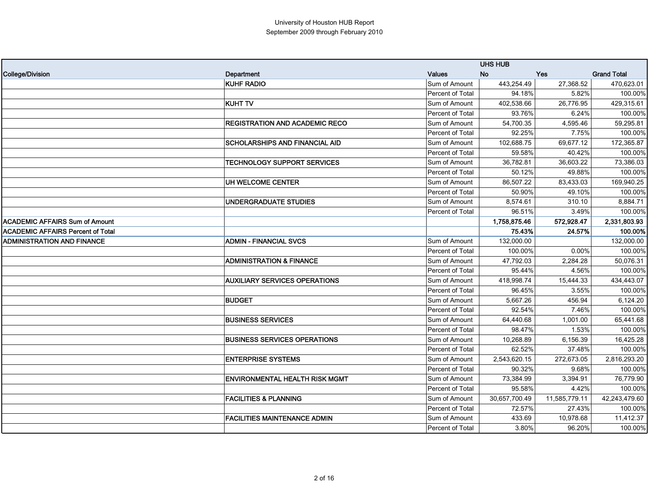|                                          |                                       |                  | <b>UHS HUB</b> |               |                    |
|------------------------------------------|---------------------------------------|------------------|----------------|---------------|--------------------|
| College/Division                         | Department                            | <b>Values</b>    | <b>No</b>      | <b>Yes</b>    | <b>Grand Total</b> |
|                                          | <b>KUHF RADIO</b>                     | Sum of Amount    | 443,254.49     | 27,368.52     | 470,623.01         |
|                                          |                                       | Percent of Total | 94.18%         | 5.82%         | 100.00%            |
|                                          | <b>KUHT TV</b>                        | Sum of Amount    | 402,538.66     | 26,776.95     | 429,315.61         |
|                                          |                                       | Percent of Total | 93.76%         | 6.24%         | 100.00%            |
|                                          | REGISTRATION AND ACADEMIC RECO        | Sum of Amount    | 54,700.35      | 4,595.46      | 59,295.81          |
|                                          |                                       | Percent of Total | 92.25%         | 7.75%         | 100.00%            |
|                                          | SCHOLARSHIPS AND FINANCIAL AID        | Sum of Amount    | 102,688.75     | 69,677.12     | 172,365.87         |
|                                          |                                       | Percent of Total | 59.58%         | 40.42%        | 100.00%            |
|                                          | <b>TECHNOLOGY SUPPORT SERVICES</b>    | Sum of Amount    | 36,782.81      | 36,603.22     | 73,386.03          |
|                                          |                                       | Percent of Total | 50.12%         | 49.88%        | 100.00%            |
|                                          | UH WELCOME CENTER                     | Sum of Amount    | 86,507.22      | 83,433.03     | 169,940.25         |
|                                          |                                       | Percent of Total | 50.90%         | 49.10%        | 100.00%            |
|                                          | UNDERGRADUATE STUDIES                 | Sum of Amount    | 8,574.61       | 310.10        | 8,884.71           |
|                                          |                                       | Percent of Total | 96.51%         | 3.49%         | 100.00%            |
| <b>ACADEMIC AFFAIRS Sum of Amount</b>    |                                       |                  | 1,758,875.46   | 572,928.47    | 2,331,803.93       |
| <b>ACADEMIC AFFAIRS Percent of Total</b> |                                       |                  | 75.43%         | 24.57%        | 100.00%            |
| <b>ADMINISTRATION AND FINANCE</b>        | <b>ADMIN - FINANCIAL SVCS</b>         | Sum of Amount    | 132,000.00     |               | 132,000.00         |
|                                          |                                       | Percent of Total | 100.00%        | 0.00%         | 100.00%            |
|                                          | <b>ADMINISTRATION &amp; FINANCE</b>   | Sum of Amount    | 47,792.03      | 2,284.28      | 50,076.31          |
|                                          |                                       | Percent of Total | 95.44%         | 4.56%         | 100.00%            |
|                                          | <b>AUXILIARY SERVICES OPERATIONS</b>  | Sum of Amount    | 418,998.74     | 15,444.33     | 434,443.07         |
|                                          |                                       | Percent of Total | 96.45%         | 3.55%         | 100.00%            |
|                                          | <b>BUDGET</b>                         | Sum of Amount    | 5,667.26       | 456.94        | 6,124.20           |
|                                          |                                       | Percent of Total | 92.54%         | 7.46%         | 100.00%            |
|                                          | <b>BUSINESS SERVICES</b>              | Sum of Amount    | 64,440.68      | 1,001.00      | 65,441.68          |
|                                          |                                       | Percent of Total | 98.47%         | 1.53%         | 100.00%            |
|                                          | <b>BUSINESS SERVICES OPERATIONS</b>   | Sum of Amount    | 10,268.89      | 6,156.39      | 16,425.28          |
|                                          |                                       | Percent of Total | 62.52%         | 37.48%        | 100.00%            |
|                                          | <b>ENTERPRISE SYSTEMS</b>             | Sum of Amount    | 2,543,620.15   | 272,673.05    | 2,816,293.20       |
|                                          |                                       | Percent of Total | 90.32%         | 9.68%         | 100.00%            |
|                                          | <b>ENVIRONMENTAL HEALTH RISK MGMT</b> | Sum of Amount    | 73,384.99      | 3,394.91      | 76,779.90          |
|                                          |                                       | Percent of Total | 95.58%         | 4.42%         | 100.00%            |
|                                          | <b>FACILITIES &amp; PLANNING</b>      | Sum of Amount    | 30,657,700.49  | 11,585,779.11 | 42,243,479.60      |
|                                          |                                       | Percent of Total | 72.57%         | 27.43%        | 100.00%            |
|                                          | <b>FACILITIES MAINTENANCE ADMIN</b>   | Sum of Amount    | 433.69         | 10,978.68     | 11,412.37          |
|                                          |                                       | Percent of Total | 3.80%          | 96.20%        | 100.00%            |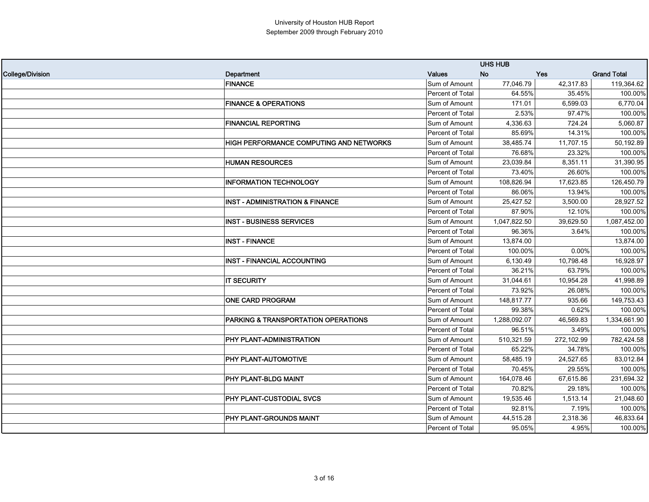|                         |                                            |                  | <b>UHS HUB</b> |            |                    |
|-------------------------|--------------------------------------------|------------------|----------------|------------|--------------------|
| <b>College/Division</b> | Department                                 | <b>Values</b>    | <b>No</b>      | <b>Yes</b> | <b>Grand Total</b> |
|                         | <b>FINANCE</b>                             | Sum of Amount    | 77,046.79      | 42,317.83  | 119,364.62         |
|                         |                                            | Percent of Total | 64.55%         | 35.45%     | 100.00%            |
|                         | <b>FINANCE &amp; OPERATIONS</b>            | Sum of Amount    | 171.01         | 6,599.03   | 6,770.04           |
|                         |                                            | Percent of Total | 2.53%          | 97.47%     | 100.00%            |
|                         | <b>FINANCIAL REPORTING</b>                 | Sum of Amount    | 4,336.63       | 724.24     | 5,060.87           |
|                         |                                            | Percent of Total | 85.69%         | 14.31%     | 100.00%            |
|                         | HIGH PERFORMANCE COMPUTING AND NETWORKS    | Sum of Amount    | 38,485.74      | 11,707.15  | 50,192.89          |
|                         |                                            | Percent of Total | 76.68%         | 23.32%     | 100.00%            |
|                         | <b>HUMAN RESOURCES</b>                     | Sum of Amount    | 23,039.84      | 8,351.11   | 31,390.95          |
|                         |                                            | Percent of Total | 73.40%         | 26.60%     | 100.00%            |
|                         | <b>INFORMATION TECHNOLOGY</b>              | Sum of Amount    | 108,826.94     | 17,623.85  | 126,450.79         |
|                         |                                            | Percent of Total | 86.06%         | 13.94%     | 100.00%            |
|                         | <b>INST - ADMINISTRATION &amp; FINANCE</b> | Sum of Amount    | 25.427.52      | 3,500.00   | 28,927.52          |
|                         |                                            | Percent of Total | 87.90%         | 12.10%     | 100.00%            |
|                         | <b>INST - BUSINESS SERVICES</b>            | Sum of Amount    | 1,047,822.50   | 39,629.50  | 1,087,452.00       |
|                         |                                            | Percent of Total | 96.36%         | 3.64%      | 100.00%            |
|                         | <b>INST - FINANCE</b>                      | Sum of Amount    | 13,874.00      |            | 13,874.00          |
|                         |                                            | Percent of Total | 100.00%        | 0.00%      | 100.00%            |
|                         | <b>INST - FINANCIAL ACCOUNTING</b>         | Sum of Amount    | 6,130.49       | 10,798.48  | 16,928.97          |
|                         |                                            | Percent of Total | 36.21%         | 63.79%     | 100.00%            |
|                         | <b>IT SECURITY</b>                         | Sum of Amount    | 31,044.61      | 10,954.28  | 41,998.89          |
|                         |                                            | Percent of Total | 73.92%         | 26.08%     | 100.00%            |
|                         | ONE CARD PROGRAM                           | Sum of Amount    | 148,817.77     | 935.66     | 149,753.43         |
|                         |                                            | Percent of Total | 99.38%         | 0.62%      | 100.00%            |
|                         | PARKING & TRANSPORTATION OPERATIONS        | Sum of Amount    | 1,288,092.07   | 46,569.83  | 1,334,661.90       |
|                         |                                            | Percent of Total | 96.51%         | 3.49%      | 100.00%            |
|                         | PHY PLANT-ADMINISTRATION                   | Sum of Amount    | 510,321.59     | 272,102.99 | 782,424.58         |
|                         |                                            | Percent of Total | 65.22%         | 34.78%     | 100.00%            |
|                         | PHY PLANT-AUTOMOTIVE                       | Sum of Amount    | 58,485.19      | 24,527.65  | 83,012.84          |
|                         |                                            | Percent of Total | 70.45%         | 29.55%     | 100.00%            |
|                         | PHY PLANT-BLDG MAINT                       | Sum of Amount    | 164,078.46     | 67,615.86  | 231,694.32         |
|                         |                                            | Percent of Total | 70.82%         | 29.18%     | 100.00%            |
|                         | PHY PLANT-CUSTODIAL SVCS                   | Sum of Amount    | 19,535.46      | 1,513.14   | 21,048.60          |
|                         |                                            | Percent of Total | 92.81%         | 7.19%      | 100.00%            |
|                         | PHY PLANT-GROUNDS MAINT                    | Sum of Amount    | 44,515.28      | 2,318.36   | 46,833.64          |
|                         |                                            | Percent of Total | 95.05%         | 4.95%      | 100.00%            |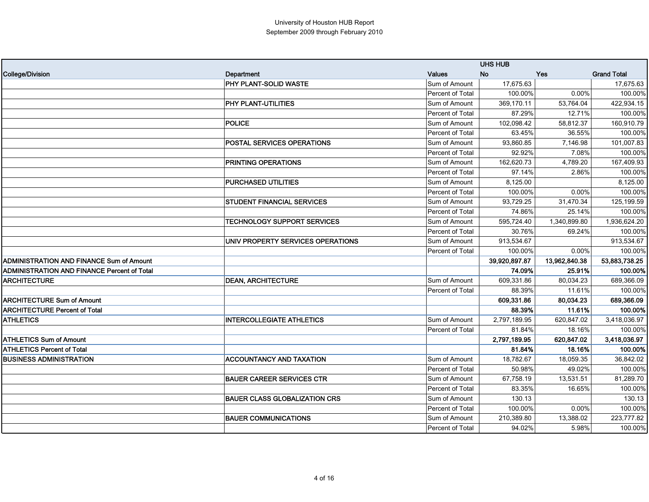|                                                    |                                      |                  | <b>UHS HUB</b> |               |                    |
|----------------------------------------------------|--------------------------------------|------------------|----------------|---------------|--------------------|
| <b>College/Division</b>                            | Department                           | <b>Values</b>    | <b>No</b>      | <b>Yes</b>    | <b>Grand Total</b> |
|                                                    | PHY PLANT-SOLID WASTE                | Sum of Amount    | 17,675.63      |               | 17,675.63          |
|                                                    |                                      | Percent of Total | 100.00%        | 0.00%         | 100.00%            |
|                                                    | PHY PLANT-UTILITIES                  | Sum of Amount    | 369,170.11     | 53,764.04     | 422,934.15         |
|                                                    |                                      | Percent of Total | 87.29%         | 12.71%        | 100.00%            |
|                                                    | <b>POLICE</b>                        | Sum of Amount    | 102,098.42     | 58,812.37     | 160,910.79         |
|                                                    |                                      | Percent of Total | 63.45%         | 36.55%        | 100.00%            |
|                                                    | <b>POSTAL SERVICES OPERATIONS</b>    | Sum of Amount    | 93,860.85      | 7,146.98      | 101,007.83         |
|                                                    |                                      | Percent of Total | 92.92%         | 7.08%         | 100.00%            |
|                                                    | PRINTING OPERATIONS                  | Sum of Amount    | 162,620.73     | 4,789.20      | 167,409.93         |
|                                                    |                                      | Percent of Total | 97.14%         | 2.86%         | 100.00%            |
|                                                    | <b>PURCHASED UTILITIES</b>           | Sum of Amount    | 8,125.00       |               | 8,125.00           |
|                                                    |                                      | Percent of Total | 100.00%        | 0.00%         | 100.00%            |
|                                                    | <b>STUDENT FINANCIAL SERVICES</b>    | Sum of Amount    | 93,729.25      | 31,470.34     | 125,199.59         |
|                                                    |                                      | Percent of Total | 74.86%         | 25.14%        | 100.00%            |
|                                                    | <b>TECHNOLOGY SUPPORT SERVICES</b>   | Sum of Amount    | 595,724.40     | 1,340,899.80  | 1,936,624.20       |
|                                                    |                                      | Percent of Total | 30.76%         | 69.24%        | 100.00%            |
|                                                    | UNIV PROPERTY SERVICES OPERATIONS    | Sum of Amount    | 913,534.67     |               | 913,534.67         |
|                                                    |                                      | Percent of Total | 100.00%        | $0.00\%$      | 100.00%            |
| <b>ADMINISTRATION AND FINANCE Sum of Amount</b>    |                                      |                  | 39,920,897.87  | 13,962,840.38 | 53,883,738.25      |
| <b>ADMINISTRATION AND FINANCE Percent of Total</b> |                                      |                  | 74.09%         | 25.91%        | 100.00%            |
| <b>ARCHITECTURE</b>                                | <b>DEAN, ARCHITECTURE</b>            | Sum of Amount    | 609,331.86     | 80,034.23     | 689,366.09         |
|                                                    |                                      | Percent of Total | 88.39%         | 11.61%        | 100.00%            |
| <b>ARCHITECTURE Sum of Amount</b>                  |                                      |                  | 609.331.86     | 80.034.23     | 689,366.09         |
| <b>ARCHITECTURE Percent of Total</b>               |                                      |                  | 88.39%         | 11.61%        | 100.00%            |
| <b>ATHLETICS</b>                                   | <b>INTERCOLLEGIATE ATHLETICS</b>     | Sum of Amount    | 2,797,189.95   | 620,847.02    | 3,418,036.97       |
|                                                    |                                      | Percent of Total | 81.84%         | 18.16%        | 100.00%            |
| <b>ATHLETICS Sum of Amount</b>                     |                                      |                  | 2,797,189.95   | 620,847.02    | 3,418,036.97       |
| <b>ATHLETICS Percent of Total</b>                  |                                      |                  | 81.84%         | 18.16%        | 100.00%            |
| <b>BUSINESS ADMINISTRATION</b>                     | <b>ACCOUNTANCY AND TAXATION</b>      | Sum of Amount    | 18,782.67      | 18,059.35     | 36,842.02          |
|                                                    |                                      | Percent of Total | 50.98%         | 49.02%        | 100.00%            |
|                                                    | <b>BAUER CAREER SERVICES CTR</b>     | Sum of Amount    | 67,758.19      | 13,531.51     | 81,289.70          |
|                                                    |                                      | Percent of Total | 83.35%         | 16.65%        | 100.00%            |
|                                                    | <b>BAUER CLASS GLOBALIZATION CRS</b> | Sum of Amount    | 130.13         |               | 130.13             |
|                                                    |                                      | Percent of Total | 100.00%        | 0.00%         | 100.00%            |
|                                                    | <b>BAUER COMMUNICATIONS</b>          | Sum of Amount    | 210,389.80     | 13,388.02     | 223,777.82         |
|                                                    |                                      | Percent of Total | 94.02%         | 5.98%         | 100.00%            |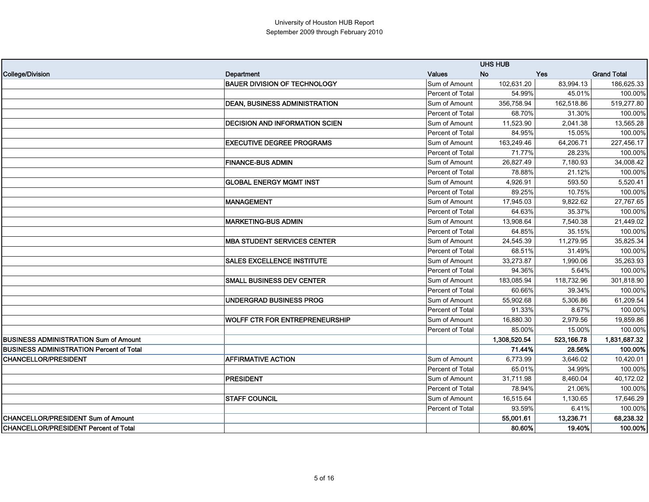|                                                 |                                       |                  | <b>UHS HUB</b> |            |                    |
|-------------------------------------------------|---------------------------------------|------------------|----------------|------------|--------------------|
| College/Division                                | Department                            | <b>Values</b>    | <b>No</b>      | Yes        | <b>Grand Total</b> |
|                                                 | <b>BAUER DIVISION OF TECHNOLOGY</b>   | Sum of Amount    | 102,631.20     | 83,994.13  | 186,625.33         |
|                                                 |                                       | Percent of Total | 54.99%         | 45.01%     | 100.00%            |
|                                                 | <b>DEAN, BUSINESS ADMINISTRATION</b>  | Sum of Amount    | 356,758.94     | 162,518.86 | 519,277.80         |
|                                                 |                                       | Percent of Total | 68.70%         | 31.30%     | 100.00%            |
|                                                 | <b>DECISION AND INFORMATION SCIEN</b> | Sum of Amount    | 11,523.90      | 2,041.38   | 13,565.28          |
|                                                 |                                       | Percent of Total | 84.95%         | 15.05%     | 100.00%            |
|                                                 | <b>EXECUTIVE DEGREE PROGRAMS</b>      | Sum of Amount    | 163,249.46     | 64,206.71  | 227,456.17         |
|                                                 |                                       | Percent of Total | 71.77%         | 28.23%     | 100.00%            |
|                                                 | <b>FINANCE-BUS ADMIN</b>              | Sum of Amount    | 26,827.49      | 7,180.93   | 34,008.42          |
|                                                 |                                       | Percent of Total | 78.88%         | 21.12%     | 100.00%            |
|                                                 | <b>GLOBAL ENERGY MGMT INST</b>        | Sum of Amount    | 4,926.91       | 593.50     | 5,520.41           |
|                                                 |                                       | Percent of Total | 89.25%         | 10.75%     | 100.00%            |
|                                                 | <b>MANAGEMENT</b>                     | Sum of Amount    | 17,945.03      | 9,822.62   | 27,767.65          |
|                                                 |                                       | Percent of Total | 64.63%         | 35.37%     | 100.00%            |
|                                                 | <b>MARKETING-BUS ADMIN</b>            | Sum of Amount    | 13,908.64      | 7,540.38   | 21,449.02          |
|                                                 |                                       | Percent of Total | 64.85%         | 35.15%     | 100.00%            |
|                                                 | <b>MBA STUDENT SERVICES CENTER</b>    | Sum of Amount    | 24,545.39      | 11,279.95  | 35,825.34          |
|                                                 |                                       | Percent of Total | 68.51%         | 31.49%     | 100.00%            |
|                                                 | <b>SALES EXCELLENCE INSTITUTE</b>     | Sum of Amount    | 33,273.87      | 1,990.06   | 35,263.93          |
|                                                 |                                       | Percent of Total | 94.36%         | 5.64%      | 100.00%            |
|                                                 | <b>SMALL BUSINESS DEV CENTER</b>      | Sum of Amount    | 183,085.94     | 118,732.96 | 301,818.90         |
|                                                 |                                       | Percent of Total | 60.66%         | 39.34%     | 100.00%            |
|                                                 | UNDERGRAD BUSINESS PROG               | Sum of Amount    | 55,902.68      | 5,306.86   | 61,209.54          |
|                                                 |                                       | Percent of Total | 91.33%         | 8.67%      | 100.00%            |
|                                                 | <b>WOLFF CTR FOR ENTREPRENEURSHIP</b> | Sum of Amount    | 16,880.30      | 2,979.56   | 19,859.86          |
|                                                 |                                       | Percent of Total | 85.00%         | 15.00%     | 100.00%            |
| <b>BUSINESS ADMINISTRATION Sum of Amount</b>    |                                       |                  | 1,308,520.54   | 523,166.78 | 1,831,687.32       |
| <b>BUSINESS ADMINISTRATION Percent of Total</b> |                                       |                  | 71.44%         | 28.56%     | 100.00%            |
| <b>CHANCELLOR/PRESIDENT</b>                     | <b>AFFIRMATIVE ACTION</b>             | Sum of Amount    | 6,773.99       | 3,646.02   | 10,420.01          |
|                                                 |                                       | Percent of Total | 65.01%         | 34.99%     | 100.00%            |
|                                                 | <b>PRESIDENT</b>                      | Sum of Amount    | 31,711.98      | 8,460.04   | 40,172.02          |
|                                                 |                                       | Percent of Total | 78.94%         | 21.06%     | 100.00%            |
|                                                 | <b>STAFF COUNCIL</b>                  | Sum of Amount    | 16,515.64      | 1,130.65   | 17,646.29          |
|                                                 |                                       | Percent of Total | 93.59%         | 6.41%      | 100.00%            |
| <b>CHANCELLOR/PRESIDENT Sum of Amount</b>       |                                       |                  | 55,001.61      | 13,236.71  | 68,238.32          |
| <b>CHANCELLOR/PRESIDENT Percent of Total</b>    |                                       |                  | 80.60%         | 19.40%     | 100.00%            |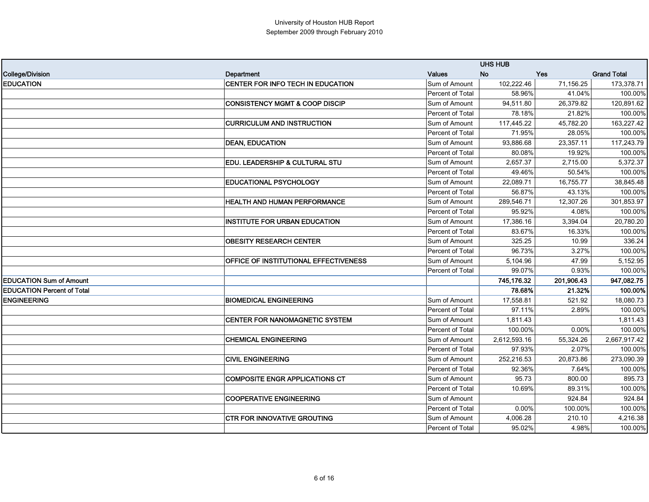|                                   |                                           |                         | <b>UHS HUB</b> |            |                    |
|-----------------------------------|-------------------------------------------|-------------------------|----------------|------------|--------------------|
| College/Division                  | Department                                | <b>Values</b>           | <b>No</b>      | <b>Yes</b> | <b>Grand Total</b> |
| <b>EDUCATION</b>                  | CENTER FOR INFO TECH IN EDUCATION         | Sum of Amount           | 102,222.46     | 71,156.25  | 173,378.71         |
|                                   |                                           | Percent of Total        | 58.96%         | 41.04%     | 100.00%            |
|                                   | <b>CONSISTENCY MGMT &amp; COOP DISCIP</b> | Sum of Amount           | 94,511.80      | 26,379.82  | 120,891.62         |
|                                   |                                           | Percent of Total        | 78.18%         | 21.82%     | 100.00%            |
|                                   | <b>CURRICULUM AND INSTRUCTION</b>         | Sum of Amount           | 117,445.22     | 45,782.20  | 163,227.42         |
|                                   |                                           | <b>Percent of Total</b> | 71.95%         | 28.05%     | 100.00%            |
|                                   | <b>DEAN, EDUCATION</b>                    | Sum of Amount           | 93,886.68      | 23,357.11  | 117,243.79         |
|                                   |                                           | Percent of Total        | 80.08%         | 19.92%     | 100.00%            |
|                                   | EDU. LEADERSHIP & CULTURAL STU            | Sum of Amount           | 2.657.37       | 2,715.00   | 5,372.37           |
|                                   |                                           | <b>Percent of Total</b> | 49.46%         | 50.54%     | 100.00%            |
|                                   | <b>EDUCATIONAL PSYCHOLOGY</b>             | Sum of Amount           | 22,089.71      | 16,755.77  | 38,845.48          |
|                                   |                                           | Percent of Total        | 56.87%         | 43.13%     | 100.00%            |
|                                   | HEALTH AND HUMAN PERFORMANCE              | Sum of Amount           | 289,546.71     | 12,307.26  | 301,853.97         |
|                                   |                                           | <b>Percent of Total</b> | 95.92%         | 4.08%      | 100.00%            |
|                                   | <b>INSTITUTE FOR URBAN EDUCATION</b>      | Sum of Amount           | 17,386.16      | 3,394.04   | 20,780.20          |
|                                   |                                           | Percent of Total        | 83.67%         | 16.33%     | 100.00%            |
|                                   | <b>OBESITY RESEARCH CENTER</b>            | Sum of Amount           | 325.25         | 10.99      | 336.24             |
|                                   |                                           | Percent of Total        | 96.73%         | 3.27%      | 100.00%            |
|                                   | OFFICE OF INSTITUTIONAL EFFECTIVENESS     | Sum of Amount           | 5,104.96       | 47.99      | 5,152.95           |
|                                   |                                           | Percent of Total        | 99.07%         | 0.93%      | 100.00%            |
| <b>EDUCATION Sum of Amount</b>    |                                           |                         | 745,176.32     | 201,906.43 | 947,082.75         |
| <b>EDUCATION Percent of Total</b> |                                           |                         | 78.68%         | 21.32%     | 100.00%            |
| <b>ENGINEERING</b>                | <b>BIOMEDICAL ENGINEERING</b>             | Sum of Amount           | 17,558.81      | 521.92     | 18,080.73          |
|                                   |                                           | Percent of Total        | 97.11%         | 2.89%      | 100.00%            |
|                                   | <b>CENTER FOR NANOMAGNETIC SYSTEM</b>     | Sum of Amount           | 1,811.43       |            | 1,811.43           |
|                                   |                                           | Percent of Total        | 100.00%        | 0.00%      | 100.00%            |
|                                   | <b>CHEMICAL ENGINEERING</b>               | Sum of Amount           | 2,612,593.16   | 55,324.26  | 2,667,917.42       |
|                                   |                                           | <b>Percent of Total</b> | 97.93%         | 2.07%      | 100.00%            |
|                                   | <b>CIVIL ENGINEERING</b>                  | Sum of Amount           | 252,216.53     | 20,873.86  | 273,090.39         |
|                                   |                                           | Percent of Total        | 92.36%         | 7.64%      | 100.00%            |
|                                   | <b>COMPOSITE ENGR APPLICATIONS CT</b>     | Sum of Amount           | 95.73          | 800.00     | 895.73             |
|                                   |                                           | Percent of Total        | 10.69%         | 89.31%     | 100.00%            |
|                                   | <b>COOPERATIVE ENGINEERING</b>            | Sum of Amount           |                | 924.84     | 924.84             |
|                                   |                                           | Percent of Total        | 0.00%          | 100.00%    | 100.00%            |
|                                   | <b>CTR FOR INNOVATIVE GROUTING</b>        | Sum of Amount           | 4,006.28       | 210.10     | 4,216.38           |
|                                   |                                           | Percent of Total        | 95.02%         | 4.98%      | 100.00%            |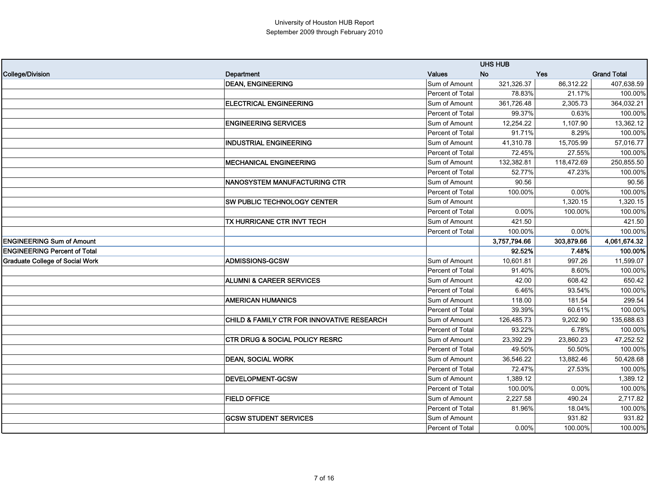|                                        |                                            |                  | <b>UHS HUB</b> |            |                    |
|----------------------------------------|--------------------------------------------|------------------|----------------|------------|--------------------|
| <b>College/Division</b>                | Department                                 | <b>Values</b>    | <b>No</b>      | <b>Yes</b> | <b>Grand Total</b> |
|                                        | <b>DEAN, ENGINEERING</b>                   | Sum of Amount    | 321,326.37     | 86,312.22  | 407,638.59         |
|                                        |                                            | Percent of Total | 78.83%         | 21.17%     | 100.00%            |
|                                        | <b>ELECTRICAL ENGINEERING</b>              | Sum of Amount    | 361,726.48     | 2,305.73   | 364,032.21         |
|                                        |                                            | Percent of Total | 99.37%         | 0.63%      | 100.00%            |
|                                        | <b>ENGINEERING SERVICES</b>                | Sum of Amount    | 12,254.22      | 1,107.90   | 13,362.12          |
|                                        |                                            | Percent of Total | 91.71%         | 8.29%      | 100.00%            |
|                                        | <b>INDUSTRIAL ENGINEERING</b>              | Sum of Amount    | 41,310.78      | 15,705.99  | 57,016.77          |
|                                        |                                            | Percent of Total | 72.45%         | 27.55%     | 100.00%            |
|                                        | <b>MECHANICAL ENGINEERING</b>              | Sum of Amount    | 132,382.81     | 118,472.69 | 250,855.50         |
|                                        |                                            | Percent of Total | 52.77%         | 47.23%     | 100.00%            |
|                                        | NANOSYSTEM MANUFACTURING CTR               | Sum of Amount    | 90.56          |            | 90.56              |
|                                        |                                            | Percent of Total | 100.00%        | 0.00%      | 100.00%            |
|                                        | SW PUBLIC TECHNOLOGY CENTER                | Sum of Amount    |                | 1,320.15   | 1,320.15           |
|                                        |                                            | Percent of Total | 0.00%          | 100.00%    | 100.00%            |
|                                        | TX HURRICANE CTR INVT TECH                 | Sum of Amount    | 421.50         |            | 421.50             |
|                                        |                                            | Percent of Total | 100.00%        | 0.00%      | 100.00%            |
| <b>ENGINEERING Sum of Amount</b>       |                                            |                  | 3,757,794.66   | 303,879.66 | 4,061,674.32       |
| <b>ENGINEERING Percent of Total</b>    |                                            |                  | 92.52%         | 7.48%      | 100.00%            |
| <b>Graduate College of Social Work</b> | ADMISSIONS-GCSW                            | Sum of Amount    | 10,601.81      | 997.26     | 11,599.07          |
|                                        |                                            | Percent of Total | 91.40%         | 8.60%      | 100.00%            |
|                                        | <b>ALUMNI &amp; CAREER SERVICES</b>        | Sum of Amount    | 42.00          | 608.42     | 650.42             |
|                                        |                                            | Percent of Total | 6.46%          | 93.54%     | 100.00%            |
|                                        | <b>AMERICAN HUMANICS</b>                   | Sum of Amount    | 118.00         | 181.54     | 299.54             |
|                                        |                                            | Percent of Total | 39.39%         | 60.61%     | 100.00%            |
|                                        | CHILD & FAMILY CTR FOR INNOVATIVE RESEARCH | Sum of Amount    | 126,485.73     | 9,202.90   | 135,688.63         |
|                                        |                                            | Percent of Total | 93.22%         | 6.78%      | 100.00%            |
|                                        | <b>CTR DRUG &amp; SOCIAL POLICY RESRC</b>  | Sum of Amount    | 23,392.29      | 23,860.23  | 47,252.52          |
|                                        |                                            | Percent of Total | 49.50%         | 50.50%     | 100.00%            |
|                                        | <b>DEAN, SOCIAL WORK</b>                   | Sum of Amount    | 36,546.22      | 13,882.46  | 50,428.68          |
|                                        |                                            | Percent of Total | 72.47%         | 27.53%     | 100.00%            |
|                                        | DEVELOPMENT-GCSW                           | Sum of Amount    | 1,389.12       |            | 1,389.12           |
|                                        |                                            | Percent of Total | 100.00%        | 0.00%      | 100.00%            |
|                                        | <b>FIELD OFFICE</b>                        | Sum of Amount    | 2,227.58       | 490.24     | 2,717.82           |
|                                        |                                            | Percent of Total | 81.96%         | 18.04%     | 100.00%            |
|                                        | <b>GCSW STUDENT SERVICES</b>               | Sum of Amount    |                | 931.82     | 931.82             |
|                                        |                                            | Percent of Total | 0.00%          | 100.00%    | 100.00%            |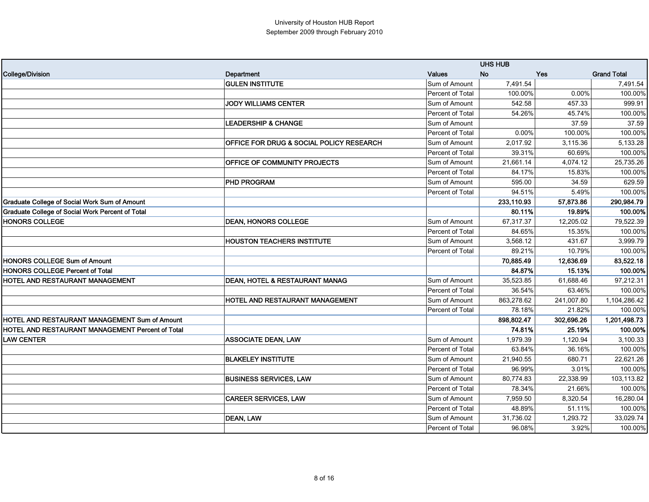|                                                  |                                          |                  | <b>UHS HUB</b> |            |                    |
|--------------------------------------------------|------------------------------------------|------------------|----------------|------------|--------------------|
| College/Division                                 | Department                               | Values           | <b>No</b>      | <b>Yes</b> | <b>Grand Total</b> |
|                                                  | <b>GULEN INSTITUTE</b>                   | Sum of Amount    | 7,491.54       |            | 7,491.54           |
|                                                  |                                          | Percent of Total | 100.00%        | 0.00%      | 100.00%            |
|                                                  | <b>JODY WILLIAMS CENTER</b>              | Sum of Amount    | 542.58         | 457.33     | 999.91             |
|                                                  |                                          | Percent of Total | 54.26%         | 45.74%     | 100.00%            |
|                                                  | <b>LEADERSHIP &amp; CHANGE</b>           | Sum of Amount    |                | 37.59      | 37.59              |
|                                                  |                                          | Percent of Total | 0.00%          | 100.00%    | 100.00%            |
|                                                  | OFFICE FOR DRUG & SOCIAL POLICY RESEARCH | Sum of Amount    | 2,017.92       | 3,115.36   | 5,133.28           |
|                                                  |                                          | Percent of Total | 39.31%         | 60.69%     | 100.00%            |
|                                                  | OFFICE OF COMMUNITY PROJECTS             | Sum of Amount    | 21,661.14      | 4,074.12   | 25,735.26          |
|                                                  |                                          | Percent of Total | 84.17%         | 15.83%     | 100.00%            |
|                                                  | <b>PHD PROGRAM</b>                       | Sum of Amount    | 595.00         | 34.59      | 629.59             |
|                                                  |                                          | Percent of Total | 94.51%         | 5.49%      | 100.00%            |
| Graduate College of Social Work Sum of Amount    |                                          |                  | 233,110.93     | 57,873.86  | 290,984.79         |
| Graduate College of Social Work Percent of Total |                                          |                  | 80.11%         | 19.89%     | 100.00%            |
| <b>HONORS COLLEGE</b>                            | <b>DEAN, HONORS COLLEGE</b>              | Sum of Amount    | 67,317.37      | 12,205.02  | 79,522.39          |
|                                                  |                                          | Percent of Total | 84.65%         | 15.35%     | 100.00%            |
|                                                  | <b>HOUSTON TEACHERS INSTITUTE</b>        | Sum of Amount    | 3,568.12       | 431.67     | 3,999.79           |
|                                                  |                                          | Percent of Total | 89.21%         | 10.79%     | 100.00%            |
| <b>HONORS COLLEGE Sum of Amount</b>              |                                          |                  | 70,885.49      | 12,636.69  | 83,522.18          |
| <b>HONORS COLLEGE Percent of Total</b>           |                                          |                  | 84.87%         | 15.13%     | 100.00%            |
| HOTEL AND RESTAURANT MANAGEMENT                  | DEAN, HOTEL & RESTAURANT MANAG           | Sum of Amount    | 35,523.85      | 61,688.46  | 97,212.31          |
|                                                  |                                          | Percent of Total | 36.54%         | 63.46%     | 100.00%            |
|                                                  | HOTEL AND RESTAURANT MANAGEMENT          | Sum of Amount    | 863,278.62     | 241,007.80 | 1,104,286.42       |
|                                                  |                                          | Percent of Total | 78.18%         | 21.82%     | 100.00%            |
| HOTEL AND RESTAURANT MANAGEMENT Sum of Amount    |                                          |                  | 898.802.47     | 302,696.26 | 1,201,498.73       |
| HOTEL AND RESTAURANT MANAGEMENT Percent of Total |                                          |                  | 74.81%         | 25.19%     | 100.00%            |
| <b>LAW CENTER</b>                                | <b>ASSOCIATE DEAN, LAW</b>               | Sum of Amount    | 1,979.39       | 1,120.94   | 3,100.33           |
|                                                  |                                          | Percent of Total | 63.84%         | 36.16%     | 100.00%            |
|                                                  | <b>BLAKELEY INSTITUTE</b>                | Sum of Amount    | 21,940.55      | 680.71     | 22,621.26          |
|                                                  |                                          | Percent of Total | 96.99%         | 3.01%      | 100.00%            |
|                                                  | <b>BUSINESS SERVICES, LAW</b>            | Sum of Amount    | 80,774.83      | 22,338.99  | 103,113.82         |
|                                                  |                                          | Percent of Total | 78.34%         | 21.66%     | 100.00%            |
|                                                  | <b>CAREER SERVICES, LAW</b>              | Sum of Amount    | 7,959.50       | 8,320.54   | 16,280.04          |
|                                                  |                                          | Percent of Total | 48.89%         | 51.11%     | 100.00%            |
|                                                  | <b>DEAN, LAW</b>                         | Sum of Amount    | 31,736.02      | 1,293.72   | 33,029.74          |
|                                                  |                                          | Percent of Total | 96.08%         | 3.92%      | 100.00%            |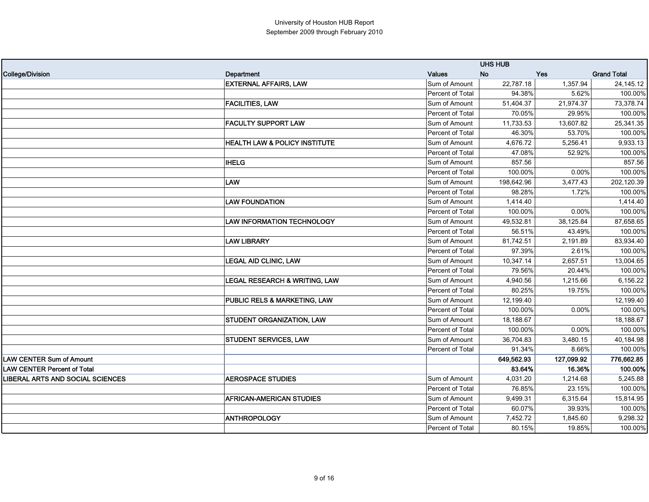|                                         |                                          |                  | <b>UHS HUB</b> |            |                    |
|-----------------------------------------|------------------------------------------|------------------|----------------|------------|--------------------|
| College/Division                        | Department                               | <b>Values</b>    | <b>No</b>      | <b>Yes</b> | <b>Grand Total</b> |
|                                         | <b>EXTERNAL AFFAIRS, LAW</b>             | Sum of Amount    | 22,787.18      | 1,357.94   | 24, 145. 12        |
|                                         |                                          | Percent of Total | 94.38%         | 5.62%      | 100.00%            |
|                                         | <b>FACILITIES, LAW</b>                   | Sum of Amount    | 51,404.37      | 21,974.37  | 73,378.74          |
|                                         |                                          | Percent of Total | 70.05%         | 29.95%     | 100.00%            |
|                                         | <b>FACULTY SUPPORT LAW</b>               | Sum of Amount    | 11,733.53      | 13,607.82  | 25,341.35          |
|                                         |                                          | Percent of Total | 46.30%         | 53.70%     | 100.00%            |
|                                         | <b>HEALTH LAW &amp; POLICY INSTITUTE</b> | Sum of Amount    | 4,676.72       | 5,256.41   | 9,933.13           |
|                                         |                                          | Percent of Total | 47.08%         | 52.92%     | 100.00%            |
|                                         | <b>IHELG</b>                             | Sum of Amount    | 857.56         |            | 857.56             |
|                                         |                                          | Percent of Total | 100.00%        | 0.00%      | 100.00%            |
|                                         | LAW                                      | Sum of Amount    | 198,642.96     | 3,477.43   | 202,120.39         |
|                                         |                                          | Percent of Total | 98.28%         | 1.72%      | 100.00%            |
|                                         | <b>LAW FOUNDATION</b>                    | Sum of Amount    | 1,414.40       |            | 1,414.40           |
|                                         |                                          | Percent of Total | 100.00%        | 0.00%      | 100.00%            |
|                                         | <b>LAW INFORMATION TECHNOLOGY</b>        | Sum of Amount    | 49,532.81      | 38,125.84  | 87,658.65          |
|                                         |                                          | Percent of Total | 56.51%         | 43.49%     | 100.00%            |
|                                         | <b>LAW LIBRARY</b>                       | Sum of Amount    | 81,742.51      | 2,191.89   | 83,934.40          |
|                                         |                                          | Percent of Total | 97.39%         | 2.61%      | 100.00%            |
|                                         | <b>LEGAL AID CLINIC, LAW</b>             | Sum of Amount    | 10,347.14      | 2,657.51   | 13,004.65          |
|                                         |                                          | Percent of Total | 79.56%         | 20.44%     | 100.00%            |
|                                         | LEGAL RESEARCH & WRITING, LAW            | Sum of Amount    | 4,940.56       | 1,215.66   | 6,156.22           |
|                                         |                                          | Percent of Total | 80.25%         | 19.75%     | 100.00%            |
|                                         | PUBLIC RELS & MARKETING, LAW             | Sum of Amount    | 12,199.40      |            | 12,199.40          |
|                                         |                                          | Percent of Total | 100.00%        | 0.00%      | 100.00%            |
|                                         | STUDENT ORGANIZATION, LAW                | Sum of Amount    | 18,188.67      |            | 18,188.67          |
|                                         |                                          | Percent of Total | 100.00%        | 0.00%      | 100.00%            |
|                                         | <b>STUDENT SERVICES, LAW</b>             | Sum of Amount    | 36,704.83      | 3,480.15   | 40,184.98          |
|                                         |                                          | Percent of Total | 91.34%         | 8.66%      | 100.00%            |
| <b>LAW CENTER Sum of Amount</b>         |                                          |                  | 649,562.93     | 127,099.92 | 776,662.85         |
| <b>LAW CENTER Percent of Total</b>      |                                          |                  | 83.64%         | 16.36%     | 100.00%            |
| <b>LIBERAL ARTS AND SOCIAL SCIENCES</b> | <b>AEROSPACE STUDIES</b>                 | Sum of Amount    | 4,031.20       | 1,214.68   | 5,245.88           |
|                                         |                                          | Percent of Total | 76.85%         | 23.15%     | 100.00%            |
|                                         | <b>AFRICAN-AMERICAN STUDIES</b>          | Sum of Amount    | 9,499.31       | 6,315.64   | 15,814.95          |
|                                         |                                          | Percent of Total | 60.07%         | 39.93%     | 100.00%            |
|                                         | <b>ANTHROPOLOGY</b>                      | Sum of Amount    | 7,452.72       | 1,845.60   | 9,298.32           |
|                                         |                                          | Percent of Total | 80.15%         | 19.85%     | 100.00%            |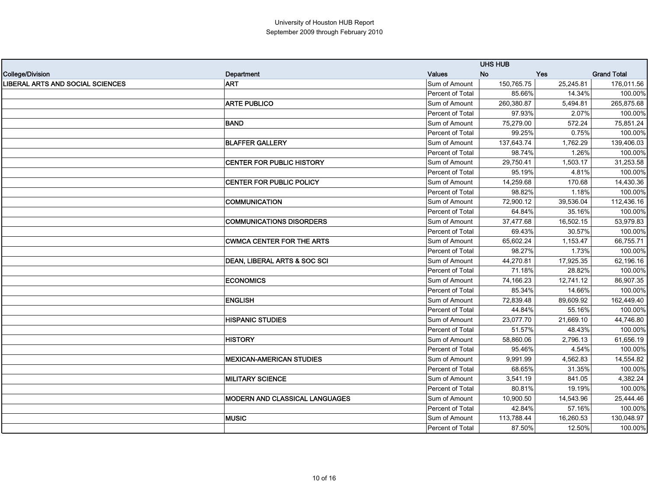|                                  |                                         |                         | <b>UHS HUB</b> |            |                    |
|----------------------------------|-----------------------------------------|-------------------------|----------------|------------|--------------------|
| College/Division                 | Department                              | <b>Values</b>           | <b>No</b>      | <b>Yes</b> | <b>Grand Total</b> |
| LIBERAL ARTS AND SOCIAL SCIENCES | <b>ART</b>                              | Sum of Amount           | 150,765.75     | 25,245.81  | 176,011.56         |
|                                  |                                         | <b>Percent of Total</b> | 85.66%         | 14.34%     | 100.00%            |
|                                  | <b>ARTE PUBLICO</b>                     | Sum of Amount           | 260,380.87     | 5,494.81   | 265,875.68         |
|                                  |                                         | Percent of Total        | 97.93%         | 2.07%      | 100.00%            |
|                                  | <b>BAND</b>                             | Sum of Amount           | 75,279.00      | 572.24     | 75,851.24          |
|                                  |                                         | Percent of Total        | 99.25%         | 0.75%      | 100.00%            |
|                                  | <b>BLAFFER GALLERY</b>                  | Sum of Amount           | 137,643.74     | 1,762.29   | 139,406.03         |
|                                  |                                         | Percent of Total        | 98.74%         | 1.26%      | 100.00%            |
|                                  | CENTER FOR PUBLIC HISTORY               | Sum of Amount           | 29,750.41      | 1,503.17   | 31,253.58          |
|                                  |                                         | Percent of Total        | 95.19%         | 4.81%      | 100.00%            |
|                                  | CENTER FOR PUBLIC POLICY                | Sum of Amount           | 14,259.68      | 170.68     | 14,430.36          |
|                                  |                                         | Percent of Total        | 98.82%         | 1.18%      | 100.00%            |
|                                  | <b>COMMUNICATION</b>                    | Sum of Amount           | 72,900.12      | 39,536.04  | 112,436.16         |
|                                  |                                         | Percent of Total        | 64.84%         | 35.16%     | 100.00%            |
|                                  | <b>COMMUNICATIONS DISORDERS</b>         | Sum of Amount           | 37,477.68      | 16,502.15  | 53,979.83          |
|                                  |                                         | Percent of Total        | 69.43%         | 30.57%     | 100.00%            |
|                                  | <b>CWMCA CENTER FOR THE ARTS</b>        | Sum of Amount           | 65,602.24      | 1,153.47   | 66,755.71          |
|                                  |                                         | <b>Percent of Total</b> | 98.27%         | 1.73%      | 100.00%            |
|                                  | <b>DEAN, LIBERAL ARTS &amp; SOC SCI</b> | Sum of Amount           | 44,270.81      | 17,925.35  | 62,196.16          |
|                                  |                                         | Percent of Total        | 71.18%         | 28.82%     | 100.00%            |
|                                  | <b>ECONOMICS</b>                        | Sum of Amount           | 74,166.23      | 12,741.12  | 86,907.35          |
|                                  |                                         | Percent of Total        | 85.34%         | 14.66%     | 100.00%            |
|                                  | <b>ENGLISH</b>                          | Sum of Amount           | 72,839.48      | 89,609.92  | 162,449.40         |
|                                  |                                         | Percent of Total        | 44.84%         | 55.16%     | 100.00%            |
|                                  | <b>HISPANIC STUDIES</b>                 | Sum of Amount           | 23,077.70      | 21,669.10  | 44,746.80          |
|                                  |                                         | Percent of Total        | 51.57%         | 48.43%     | 100.00%            |
|                                  | <b>HISTORY</b>                          | Sum of Amount           | 58,860.06      | 2,796.13   | 61,656.19          |
|                                  |                                         | Percent of Total        | 95.46%         | 4.54%      | 100.00%            |
|                                  | <b>MEXICAN-AMERICAN STUDIES</b>         | Sum of Amount           | 9,991.99       | 4,562.83   | 14,554.82          |
|                                  |                                         | <b>Percent of Total</b> | 68.65%         | 31.35%     | 100.00%            |
|                                  | <b>MILITARY SCIENCE</b>                 | Sum of Amount           | 3,541.19       | 841.05     | 4,382.24           |
|                                  |                                         | Percent of Total        | 80.81%         | 19.19%     | 100.00%            |
|                                  | MODERN AND CLASSICAL LANGUAGES          | Sum of Amount           | 10,900.50      | 14,543.96  | 25,444.46          |
|                                  |                                         | Percent of Total        | 42.84%         | 57.16%     | 100.00%            |
|                                  | <b>MUSIC</b>                            | Sum of Amount           | 113,788.44     | 16,260.53  | 130,048.97         |
|                                  |                                         | Percent of Total        | 87.50%         | 12.50%     | 100.00%            |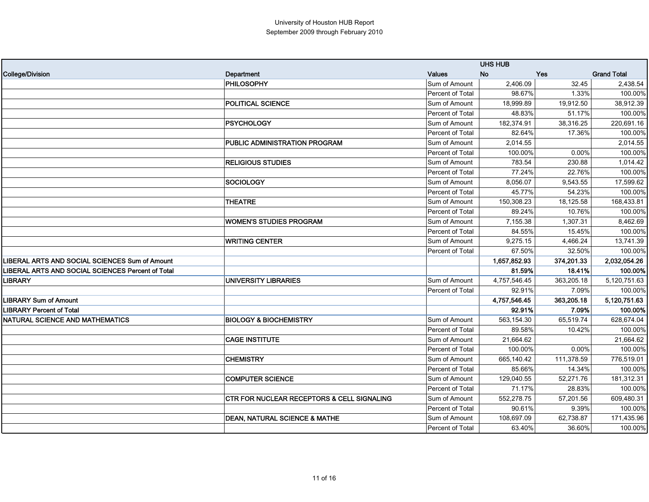|                                                          |                                                       |                         | <b>UHS HUB</b> |            |                    |
|----------------------------------------------------------|-------------------------------------------------------|-------------------------|----------------|------------|--------------------|
| <b>College/Division</b>                                  | Department                                            | Values                  | <b>No</b>      | <b>Yes</b> | <b>Grand Total</b> |
|                                                          | PHILOSOPHY                                            | Sum of Amount           | 2,406.09       | 32.45      | 2,438.54           |
|                                                          |                                                       | Percent of Total        | 98.67%         | 1.33%      | 100.00%            |
|                                                          | POLITICAL SCIENCE                                     | Sum of Amount           | 18,999.89      | 19,912.50  | 38,912.39          |
|                                                          |                                                       | Percent of Total        | 48.83%         | 51.17%     | 100.00%            |
|                                                          | <b>PSYCHOLOGY</b>                                     | Sum of Amount           | 182,374.91     | 38,316.25  | 220,691.16         |
|                                                          |                                                       | <b>Percent of Total</b> | 82.64%         | 17.36%     | 100.00%            |
|                                                          | PUBLIC ADMINISTRATION PROGRAM                         | Sum of Amount           | 2,014.55       |            | 2,014.55           |
|                                                          |                                                       | Percent of Total        | 100.00%        | 0.00%      | 100.00%            |
|                                                          | <b>RELIGIOUS STUDIES</b>                              | Sum of Amount           | 783.54         | 230.88     | 1,014.42           |
|                                                          |                                                       | Percent of Total        | 77.24%         | 22.76%     | 100.00%            |
|                                                          | <b>SOCIOLOGY</b>                                      | Sum of Amount           | 8,056.07       | 9,543.55   | 17,599.62          |
|                                                          |                                                       | Percent of Total        | 45.77%         | 54.23%     | 100.00%            |
|                                                          | <b>THEATRE</b>                                        | Sum of Amount           | 150,308.23     | 18,125.58  | 168,433.81         |
|                                                          |                                                       | Percent of Total        | 89.24%         | 10.76%     | 100.00%            |
|                                                          | <b>WOMEN'S STUDIES PROGRAM</b>                        | Sum of Amount           | 7,155.38       | 1,307.31   | 8,462.69           |
|                                                          |                                                       | Percent of Total        | 84.55%         | 15.45%     | 100.00%            |
|                                                          | <b>WRITING CENTER</b>                                 | Sum of Amount           | 9,275.15       | 4,466.24   | 13,741.39          |
|                                                          |                                                       | Percent of Total        | 67.50%         | 32.50%     | 100.00%            |
| LIBERAL ARTS AND SOCIAL SCIENCES Sum of Amount           |                                                       |                         | 1,657,852.93   | 374,201.33 | 2,032,054.26       |
| <b>LIBERAL ARTS AND SOCIAL SCIENCES Percent of Total</b> |                                                       |                         | 81.59%         | 18.41%     | 100.00%            |
| LIBRARY                                                  | <b>UNIVERSITY LIBRARIES</b>                           | Sum of Amount           | 4,757,546.45   | 363,205.18 | 5,120,751.63       |
|                                                          |                                                       | Percent of Total        | 92.91%         | 7.09%      | 100.00%            |
| <b>LIBRARY Sum of Amount</b>                             |                                                       |                         | 4,757,546.45   | 363,205.18 | 5,120,751.63       |
| <b>LIBRARY Percent of Total</b>                          |                                                       |                         | 92.91%         | 7.09%      | 100.00%            |
| NATURAL SCIENCE AND MATHEMATICS                          | <b>BIOLOGY &amp; BIOCHEMISTRY</b>                     | Sum of Amount           | 563,154.30     | 65,519.74  | 628,674.04         |
|                                                          |                                                       | Percent of Total        | 89.58%         | 10.42%     | 100.00%            |
|                                                          | <b>CAGE INSTITUTE</b>                                 | Sum of Amount           | 21,664.62      |            | 21,664.62          |
|                                                          |                                                       | Percent of Total        | 100.00%        | 0.00%      | 100.00%            |
|                                                          | <b>CHEMISTRY</b>                                      | Sum of Amount           | 665,140.42     | 111,378.59 | 776,519.01         |
|                                                          |                                                       | Percent of Total        | 85.66%         | 14.34%     | 100.00%            |
|                                                          | <b>COMPUTER SCIENCE</b>                               | Sum of Amount           | 129,040.55     | 52,271.76  | 181,312.31         |
|                                                          |                                                       | Percent of Total        | 71.17%         | 28.83%     | 100.00%            |
|                                                          | <b>CTR FOR NUCLEAR RECEPTORS &amp; CELL SIGNALING</b> | Sum of Amount           | 552,278.75     | 57,201.56  | 609,480.31         |
|                                                          |                                                       | Percent of Total        | 90.61%         | 9.39%      | 100.00%            |
|                                                          | <b>DEAN, NATURAL SCIENCE &amp; MATHE</b>              | Sum of Amount           | 108,697.09     | 62,738.87  | 171,435.96         |
|                                                          |                                                       | Percent of Total        | 63.40%         | 36.60%     | 100.00%            |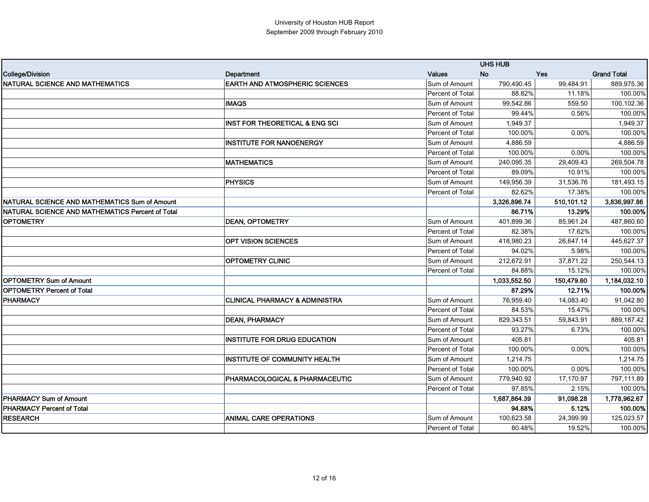|                                                  |                                           |                  | <b>UHS HUB</b>   |            |                    |
|--------------------------------------------------|-------------------------------------------|------------------|------------------|------------|--------------------|
| College/Division                                 | Department                                | <b>Values</b>    | <b>No</b><br>Yes |            | <b>Grand Total</b> |
| NATURAL SCIENCE AND MATHEMATICS                  | <b>EARTH AND ATMOSPHERIC SCIENCES</b>     | Sum of Amount    | 790,490.45       | 99,484.91  | 889,975.36         |
|                                                  |                                           | Percent of Total | 88.82%           | 11.18%     | 100.00%            |
|                                                  | <b>IMAQS</b>                              | Sum of Amount    | 99,542.86        | 559.50     | 100,102.36         |
|                                                  |                                           | Percent of Total | 99.44%           | 0.56%      | 100.00%            |
|                                                  | <b>INST FOR THEORETICAL &amp; ENG SCI</b> | Sum of Amount    | 1.949.37         |            | 1,949.37           |
|                                                  |                                           | Percent of Total | 100.00%          | 0.00%      | 100.00%            |
|                                                  | <b>INSTITUTE FOR NANOENERGY</b>           | Sum of Amount    | 4,886.59         |            | 4,886.59           |
|                                                  |                                           | Percent of Total | 100.00%          | 0.00%      | 100.00%            |
|                                                  | <b>MATHEMATICS</b>                        | Sum of Amount    | 240,095.35       | 29,409.43  | 269,504.78         |
|                                                  |                                           | Percent of Total | 89.09%           | 10.91%     | 100.00%            |
|                                                  | <b>PHYSICS</b>                            | Sum of Amount    | 149,956.39       | 31,536.76  | 181,493.15         |
|                                                  |                                           | Percent of Total | 82.62%           | 17.38%     | 100.00%            |
| NATURAL SCIENCE AND MATHEMATICS Sum of Amount    |                                           |                  | 3.326.896.74     | 510,101.12 | 3,836,997.86       |
| NATURAL SCIENCE AND MATHEMATICS Percent of Total |                                           |                  | 86.71%           | 13.29%     | 100.00%            |
| <b>OPTOMETRY</b>                                 | <b>DEAN, OPTOMETRY</b>                    | Sum of Amount    | 401,899.36       | 85,961.24  | 487,860.60         |
|                                                  |                                           | Percent of Total | 82.38%           | 17.62%     | 100.00%            |
|                                                  | <b>OPT VISION SCIENCES</b>                | Sum of Amount    | 418,980.23       | 26,647.14  | 445,627.37         |
|                                                  |                                           | Percent of Total | 94.02%           | 5.98%      | 100.00%            |
|                                                  | <b>OPTOMETRY CLINIC</b>                   | Sum of Amount    | 212,672.91       | 37,871.22  | 250,544.13         |
|                                                  |                                           | Percent of Total | 84.88%           | 15.12%     | 100.00%            |
| <b>OPTOMETRY Sum of Amount</b>                   |                                           |                  | 1,033,552.50     | 150,479.60 | 1,184,032.10       |
| <b>OPTOMETRY Percent of Total</b>                |                                           |                  | 87.29%           | 12.71%     | 100.00%            |
| <b>PHARMACY</b>                                  | <b>CLINICAL PHARMACY &amp; ADMINISTRA</b> | Sum of Amount    | 76,959.40        | 14,083.40  | 91,042.80          |
|                                                  |                                           | Percent of Total | 84.53%           | 15.47%     | 100.00%            |
|                                                  | <b>DEAN, PHARMACY</b>                     | Sum of Amount    | 829,343.51       | 59,843.91  | 889,187.42         |
|                                                  |                                           | Percent of Total | 93.27%           | 6.73%      | 100.00%            |
|                                                  | <b>INSTITUTE FOR DRUG EDUCATION</b>       | Sum of Amount    | 405.81           |            | 405.81             |
|                                                  |                                           | Percent of Total | 100.00%          | 0.00%      | 100.00%            |
|                                                  | <b>INSTITUTE OF COMMUNITY HEALTH</b>      | Sum of Amount    | 1,214.75         |            | 1,214.75           |
|                                                  |                                           | Percent of Total | 100.00%          | 0.00%      | 100.00%            |
|                                                  | PHARMACOLOGICAL & PHARMACEUTIC            | Sum of Amount    | 779,940.92       | 17,170.97  | 797,111.89         |
|                                                  |                                           | Percent of Total | 97.85%           | 2.15%      | 100.00%            |
| <b>PHARMACY Sum of Amount</b>                    |                                           |                  | 1,687,864.39     | 91,098.28  | 1,778,962.67       |
| <b>PHARMACY Percent of Total</b>                 |                                           |                  | 94.88%           | 5.12%      | 100.00%            |
| <b>RESEARCH</b>                                  | <b>ANIMAL CARE OPERATIONS</b>             | Sum of Amount    | 100,623.58       | 24,399.99  | 125,023.57         |
|                                                  |                                           | Percent of Total | 80.48%           | 19.52%     | 100.00%            |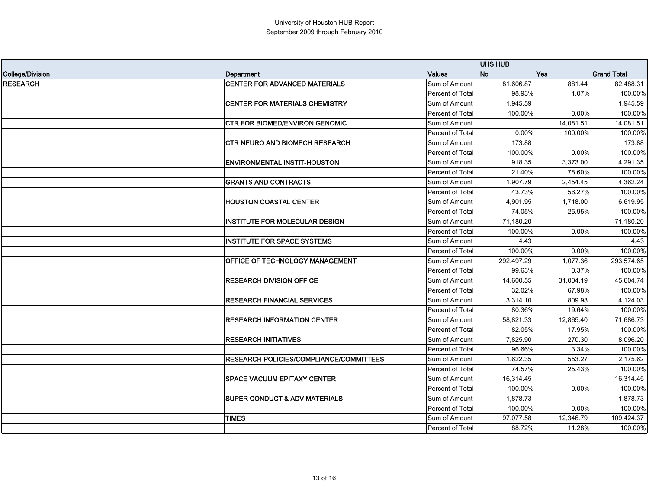|                  |                                                |                  | <b>UHS HUB</b> |           |                    |
|------------------|------------------------------------------------|------------------|----------------|-----------|--------------------|
| College/Division | Department                                     | <b>Values</b>    | <b>No</b>      | Yes       | <b>Grand Total</b> |
| <b>RESEARCH</b>  | <b>CENTER FOR ADVANCED MATERIALS</b>           | Sum of Amount    | 81.606.87      | 881.44    | 82,488.31          |
|                  |                                                | Percent of Total | 98.93%         | 1.07%     | 100.00%            |
|                  | <b>CENTER FOR MATERIALS CHEMISTRY</b>          | Sum of Amount    | 1,945.59       |           | 1,945.59           |
|                  |                                                | Percent of Total | 100.00%        | 0.00%     | 100.00%            |
|                  | <b>CTR FOR BIOMED/ENVIRON GENOMIC</b>          | Sum of Amount    |                | 14,081.51 | 14,081.51          |
|                  |                                                | Percent of Total | 0.00%          | 100.00%   | 100.00%            |
|                  | <b>CTR NEURO AND BIOMECH RESEARCH</b>          | Sum of Amount    | 173.88         |           | 173.88             |
|                  |                                                | Percent of Total | 100.00%        | 0.00%     | 100.00%            |
|                  | <b>ENVIRONMENTAL INSTIT-HOUSTON</b>            | Sum of Amount    | 918.35         | 3,373.00  | 4,291.35           |
|                  |                                                | Percent of Total | 21.40%         | 78.60%    | 100.00%            |
|                  | <b>GRANTS AND CONTRACTS</b>                    | Sum of Amount    | 1,907.79       | 2,454.45  | 4,362.24           |
|                  |                                                | Percent of Total | 43.73%         | 56.27%    | 100.00%            |
|                  | <b>HOUSTON COASTAL CENTER</b>                  | Sum of Amount    | 4,901.95       | 1,718.00  | 6,619.95           |
|                  |                                                | Percent of Total | 74.05%         | 25.95%    | 100.00%            |
|                  | <b>INSTITUTE FOR MOLECULAR DESIGN</b>          | Sum of Amount    | 71,180.20      |           | 71,180.20          |
|                  |                                                | Percent of Total | 100.00%        | 0.00%     | 100.00%            |
|                  | <b>INSTITUTE FOR SPACE SYSTEMS</b>             | Sum of Amount    | 4.43           |           | 4.43               |
|                  |                                                | Percent of Total | 100.00%        | 0.00%     | 100.00%            |
|                  | OFFICE OF TECHNOLOGY MANAGEMENT                | Sum of Amount    | 292,497.29     | 1,077.36  | 293,574.65         |
|                  |                                                | Percent of Total | 99.63%         | 0.37%     | 100.00%            |
|                  | <b>RESEARCH DIVISION OFFICE</b>                | Sum of Amount    | 14,600.55      | 31,004.19 | 45,604.74          |
|                  |                                                | Percent of Total | 32.02%         | 67.98%    | 100.00%            |
|                  | <b>RESEARCH FINANCIAL SERVICES</b>             | Sum of Amount    | 3,314.10       | 809.93    | 4,124.03           |
|                  |                                                | Percent of Total | 80.36%         | 19.64%    | 100.00%            |
|                  | <b>RESEARCH INFORMATION CENTER</b>             | Sum of Amount    | 58,821.33      | 12,865.40 | 71,686.73          |
|                  |                                                | Percent of Total | 82.05%         | 17.95%    | 100.00%            |
|                  | <b>RESEARCH INITIATIVES</b>                    | Sum of Amount    | 7,825.90       | 270.30    | 8,096.20           |
|                  |                                                | Percent of Total | 96.66%         | 3.34%     | 100.00%            |
|                  | <b>RESEARCH POLICIES/COMPLIANCE/COMMITTEES</b> | Sum of Amount    | 1,622.35       | 553.27    | 2,175.62           |
|                  |                                                | Percent of Total | 74.57%         | 25.43%    | 100.00%            |
|                  | <b>SPACE VACUUM EPITAXY CENTER</b>             | Sum of Amount    | 16,314.45      |           | 16,314.45          |
|                  |                                                | Percent of Total | 100.00%        | 0.00%     | 100.00%            |
|                  | <b>SUPER CONDUCT &amp; ADV MATERIALS</b>       | Sum of Amount    | 1,878.73       |           | 1,878.73           |
|                  |                                                | Percent of Total | 100.00%        | 0.00%     | 100.00%            |
|                  | <b>TIMES</b>                                   | Sum of Amount    | 97,077.58      | 12,346.79 | 109,424.37         |
|                  |                                                | Percent of Total | 88.72%         | 11.28%    | 100.00%            |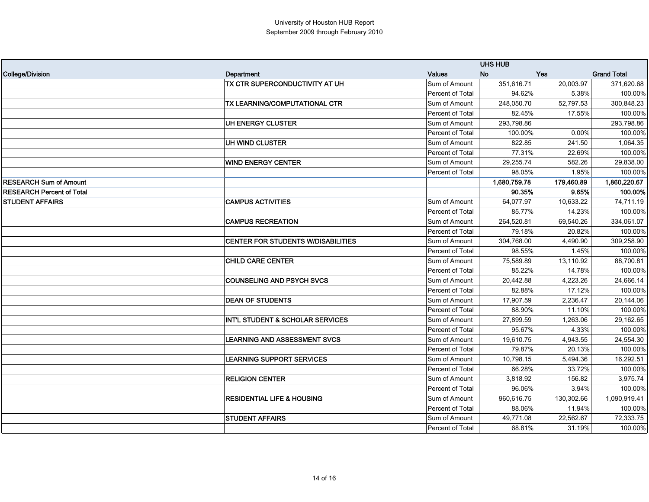|                                  |                                             |                  | <b>UHS HUB</b> |            |                    |
|----------------------------------|---------------------------------------------|------------------|----------------|------------|--------------------|
| College/Division                 | Department                                  | <b>Values</b>    | <b>No</b>      | <b>Yes</b> | <b>Grand Total</b> |
|                                  | TX CTR SUPERCONDUCTIVITY AT UH              | Sum of Amount    | 351.616.71     | 20,003.97  | 371,620.68         |
|                                  |                                             | Percent of Total | 94.62%         | 5.38%      | 100.00%            |
|                                  | TX LEARNING/COMPUTATIONAL CTR               | Sum of Amount    | 248,050.70     | 52,797.53  | 300,848.23         |
|                                  |                                             | Percent of Total | 82.45%         | 17.55%     | 100.00%            |
|                                  | UH ENERGY CLUSTER                           | Sum of Amount    | 293,798.86     |            | 293,798.86         |
|                                  |                                             | Percent of Total | 100.00%        | 0.00%      | 100.00%            |
|                                  | UH WIND CLUSTER                             | Sum of Amount    | 822.85         | 241.50     | 1,064.35           |
|                                  |                                             | Percent of Total | 77.31%         | 22.69%     | 100.00%            |
|                                  | <b>WIND ENERGY CENTER</b>                   | Sum of Amount    | 29,255.74      | 582.26     | 29,838.00          |
|                                  |                                             | Percent of Total | 98.05%         | 1.95%      | 100.00%            |
| <b>RESEARCH Sum of Amount</b>    |                                             |                  | 1,680,759.78   | 179,460.89 | 1,860,220.67       |
| <b>RESEARCH Percent of Total</b> |                                             |                  | 90.35%         | 9.65%      | 100.00%            |
| <b>STUDENT AFFAIRS</b>           | <b>CAMPUS ACTIVITIES</b>                    | Sum of Amount    | 64,077.97      | 10,633.22  | 74,711.19          |
|                                  |                                             | Percent of Total | 85.77%         | 14.23%     | 100.00%            |
|                                  | <b>CAMPUS RECREATION</b>                    | Sum of Amount    | 264,520.81     | 69,540.26  | 334,061.07         |
|                                  |                                             | Percent of Total | 79.18%         | 20.82%     | 100.00%            |
|                                  | CENTER FOR STUDENTS W/DISABILITIES          | Sum of Amount    | 304,768.00     | 4,490.90   | 309,258.90         |
|                                  |                                             | Percent of Total | 98.55%         | 1.45%      | 100.00%            |
|                                  | <b>CHILD CARE CENTER</b>                    | Sum of Amount    | 75,589.89      | 13,110.92  | 88,700.81          |
|                                  |                                             | Percent of Total | 85.22%         | 14.78%     | 100.00%            |
|                                  | <b>COUNSELING AND PSYCH SVCS</b>            | Sum of Amount    | 20,442.88      | 4,223.26   | 24,666.14          |
|                                  |                                             | Percent of Total | 82.88%         | 17.12%     | 100.00%            |
|                                  | <b>DEAN OF STUDENTS</b>                     | Sum of Amount    | 17,907.59      | 2,236.47   | 20,144.06          |
|                                  |                                             | Percent of Total | 88.90%         | 11.10%     | 100.00%            |
|                                  | <b>INT'L STUDENT &amp; SCHOLAR SERVICES</b> | Sum of Amount    | 27,899.59      | 1,263.06   | 29,162.65          |
|                                  |                                             | Percent of Total | 95.67%         | 4.33%      | 100.00%            |
|                                  | LEARNING AND ASSESSMENT SVCS                | Sum of Amount    | 19.610.75      | 4,943.55   | 24,554.30          |
|                                  |                                             | Percent of Total | 79.87%         | 20.13%     | 100.00%            |
|                                  | <b>LEARNING SUPPORT SERVICES</b>            | Sum of Amount    | 10,798.15      | 5,494.36   | 16,292.51          |
|                                  |                                             | Percent of Total | 66.28%         | 33.72%     | 100.00%            |
|                                  | <b>RELIGION CENTER</b>                      | Sum of Amount    | 3,818.92       | 156.82     | 3,975.74           |
|                                  |                                             | Percent of Total | 96.06%         | 3.94%      | 100.00%            |
|                                  | <b>RESIDENTIAL LIFE &amp; HOUSING</b>       | Sum of Amount    | 960,616.75     | 130,302.66 | 1,090,919.41       |
|                                  |                                             | Percent of Total | 88.06%         | 11.94%     | 100.00%            |
|                                  | <b>STUDENT AFFAIRS</b>                      | Sum of Amount    | 49,771.08      | 22,562.67  | 72,333.75          |
|                                  |                                             | Percent of Total | 68.81%         | 31.19%     | 100.00%            |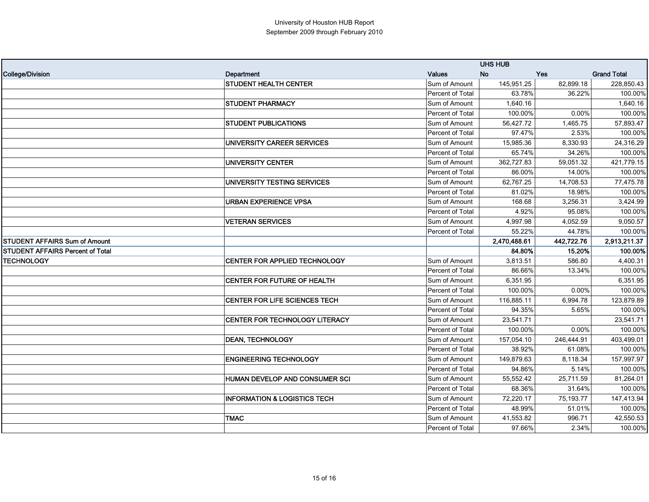|                                         |                                         |                  | <b>UHS HUB</b> |            |                    |
|-----------------------------------------|-----------------------------------------|------------------|----------------|------------|--------------------|
| <b>College/Division</b>                 | Department                              | Values           | <b>No</b>      | <b>Yes</b> | <b>Grand Total</b> |
|                                         | <b>STUDENT HEALTH CENTER</b>            | Sum of Amount    | 145,951.25     | 82,899.18  | 228,850.43         |
|                                         |                                         | Percent of Total | 63.78%         | 36.22%     | 100.00%            |
|                                         | <b>STUDENT PHARMACY</b>                 | Sum of Amount    | 1,640.16       |            | 1,640.16           |
|                                         |                                         | Percent of Total | 100.00%        | 0.00%      | 100.00%            |
|                                         | <b>STUDENT PUBLICATIONS</b>             | Sum of Amount    | 56,427.72      | 1,465.75   | 57,893.47          |
|                                         |                                         | Percent of Total | 97.47%         | 2.53%      | 100.00%            |
|                                         | UNIVERSITY CAREER SERVICES              | Sum of Amount    | 15,985.36      | 8,330.93   | 24,316.29          |
|                                         |                                         | Percent of Total | 65.74%         | 34.26%     | 100.00%            |
|                                         | <b>UNIVERSITY CENTER</b>                | Sum of Amount    | 362,727.83     | 59,051.32  | 421,779.15         |
|                                         |                                         | Percent of Total | 86.00%         | 14.00%     | 100.00%            |
|                                         | UNIVERSITY TESTING SERVICES             | Sum of Amount    | 62,767.25      | 14,708.53  | 77,475.78          |
|                                         |                                         | Percent of Total | 81.02%         | 18.98%     | 100.00%            |
|                                         | <b>URBAN EXPERIENCE VPSA</b>            | Sum of Amount    | 168.68         | 3,256.31   | 3,424.99           |
|                                         |                                         | Percent of Total | 4.92%          | 95.08%     | 100.00%            |
|                                         | <b>VETERAN SERVICES</b>                 | Sum of Amount    | 4,997.98       | 4,052.59   | 9,050.57           |
|                                         |                                         | Percent of Total | 55.22%         | 44.78%     | 100.00%            |
| <b>STUDENT AFFAIRS Sum of Amount</b>    |                                         |                  | 2,470,488.61   | 442,722.76 | 2,913,211.37       |
| <b>STUDENT AFFAIRS Percent of Total</b> |                                         |                  | 84.80%         | 15.20%     | 100.00%            |
| <b>TECHNOLOGY</b>                       | CENTER FOR APPLIED TECHNOLOGY           | Sum of Amount    | 3,813.51       | 586.80     | 4,400.31           |
|                                         |                                         | Percent of Total | 86.66%         | 13.34%     | 100.00%            |
|                                         | CENTER FOR FUTURE OF HEALTH             | Sum of Amount    | 6,351.95       |            | 6,351.95           |
|                                         |                                         | Percent of Total | 100.00%        | 0.00%      | 100.00%            |
|                                         | CENTER FOR LIFE SCIENCES TECH           | Sum of Amount    | 116,885.11     | 6,994.78   | 123,879.89         |
|                                         |                                         | Percent of Total | 94.35%         | 5.65%      | 100.00%            |
|                                         | <b>CENTER FOR TECHNOLOGY LITERACY</b>   | Sum of Amount    | 23,541.71      |            | 23,541.71          |
|                                         |                                         | Percent of Total | 100.00%        | 0.00%      | 100.00%            |
|                                         | <b>DEAN. TECHNOLOGY</b>                 | Sum of Amount    | 157,054.10     | 246,444.91 | 403,499.01         |
|                                         |                                         | Percent of Total | 38.92%         | 61.08%     | 100.00%            |
|                                         | <b>ENGINEERING TECHNOLOGY</b>           | Sum of Amount    | 149,879.63     | 8,118.34   | 157,997.97         |
|                                         |                                         | Percent of Total | 94.86%         | 5.14%      | 100.00%            |
|                                         | HUMAN DEVELOP AND CONSUMER SCI          | Sum of Amount    | 55,552.42      | 25,711.59  | 81,264.01          |
|                                         |                                         | Percent of Total | 68.36%         | 31.64%     | 100.00%            |
|                                         | <b>INFORMATION &amp; LOGISTICS TECH</b> | Sum of Amount    | 72,220.17      | 75,193.77  | 147,413.94         |
|                                         |                                         | Percent of Total | 48.99%         | 51.01%     | 100.00%            |
|                                         | <b>TMAC</b>                             | Sum of Amount    | 41,553.82      | 996.71     | 42,550.53          |
|                                         |                                         | Percent of Total | 97.66%         | 2.34%      | 100.00%            |